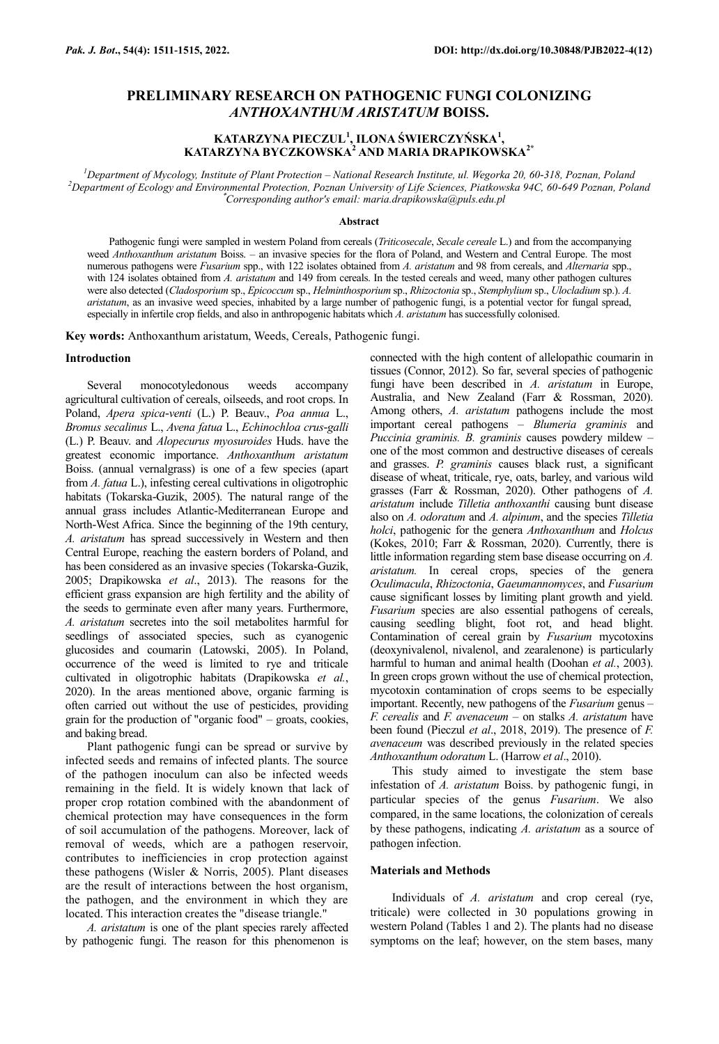# **PRELIMINARY RESEARCH ON PATHOGENIC FUNGI COLONIZING**  *ANTHOXANTHUM ARISTATUM* **BOISS.**

# **KATARZYNA PIECZUL<sup>1</sup> , ILONA ŚWIERCZYŃSKA<sup>1</sup> , KATARZYNA BYCZKOWSKA<sup>2</sup> AND MARIA DRAPIKOWSKA2\***

*<sup>1</sup>Department of Mycology, Institute of Plant Protection – National Research Institute, ul. Wegorka 20, 60-318, Poznan, Poland <sup>2</sup>Department of Ecology and Environmental Protection, Poznan University of Life Sciences, Piatkowska 94C, 60-649 Poznan, Poland* \**Corresponding author's email: maria.drapikowska@puls.edu.pl*

#### **Abstract**

Pathogenic fungi were sampled in western Poland from cereals (*Triticosecale*, *Secale cereale* L.) and from the accompanying weed *Anthoxanthum aristatum* Boiss. – an invasive species for the flora of Poland, and Western and Central Europe. The most numerous pathogens were *Fusarium* spp., with 122 isolates obtained from *A. aristatum* and 98 from cereals, and *Alternaria* spp., with 124 isolates obtained from *A. aristatum* and 149 from cereals. In the tested cereals and weed, many other pathogen cultures were also detected (*Cladosporium* sp., *Epicoccum* sp., *Helminthosporium* sp., *Rhizoctonia* sp., *Stemphylium* sp., *Ulocladium* sp.). *A. aristatum*, as an invasive weed species, inhabited by a large number of pathogenic fungi, is a potential vector for fungal spread, especially in infertile crop fields, and also in anthropogenic habitats which *A. aristatum* has successfully colonised.

**Key words:** Anthoxanthum aristatum, Weeds, Cereals, Pathogenic fungi.

### **Introduction**

Several monocotyledonous weeds accompany agricultural cultivation of cereals, oilseeds, and root crops. In Poland, *Apera spica-venti* (L.) P. Beauv., *Poa annua* L., *Bromus secalinus* L., *Avena fatua* L., *Echinochloa crus-galli* [\(L.\)](https://species.wikimedia.org/wiki/L.) [P. Beauv.](https://species.wikimedia.org/wiki/P.Beauv.) and *Alopecurus myosuroides* Huds. have the greatest economic importance. *Anthoxanthum aristatum* Boiss. (annual vernalgrass) is one of a few species (apart from *A. fatua* L.), infesting cereal cultivations in oligotrophic habitats (Tokarska-Guzik, 2005). The natural range of the annual grass includes Atlantic-Mediterranean Europe and North-West Africa. Since the beginning of the 19th century, *A. aristatum* has spread successively in Western and then Central Europe, reaching the eastern borders of Poland, and has been considered as an invasive species (Tokarska-Guzik, 2005; Drapikowska *et al*., 2013). The reasons for the efficient grass expansion are high fertility and the ability of the seeds to germinate even after many years. Furthermore, *A. aristatum* secretes into the soil metabolites harmful for seedlings of associated species, such as cyanogenic glucosides and coumarin (Latowski, 2005). In Poland, occurrence of the weed is limited to rye and triticale cultivated in oligotrophic habitats (Drapikowska *et al.*, 2020). In the areas mentioned above, organic farming is often carried out without the use of pesticides, providing grain for the production of "organic food" – groats, cookies, and baking bread.

Plant pathogenic fungi can be spread or survive by infected seeds and remains of infected plants. The source of the pathogen inoculum can also be infected weeds remaining in the field. It is widely known that lack of proper crop rotation combined with the abandonment of chemical protection may have consequences in the form of soil accumulation of the pathogens. Moreover, lack of removal of weeds, which are a pathogen reservoir, contributes to inefficiencies in crop protection against these pathogens (Wisler & Norris, 2005). Plant diseases are the result of interactions between the host organism, the pathogen, and the environment in which they are located. This interaction creates the "disease triangle."

*A. aristatum* is one of the plant species rarely affected by pathogenic fungi. The reason for this phenomenon is

connected with the high content of allelopathic coumarin in tissues (Connor, 2012). So far, several species of pathogenic fungi have been described in *A. aristatum* in Europe, Australia, and New Zealand (Farr & Rossman, 2020). Among others, *A. aristatum* pathogens include the most important cereal pathogens – *Blumeria graminis* and *Puccinia graminis. B. graminis* causes powdery mildew – one of the most common and destructive diseases of cereals and grasses. *P. graminis* causes black rust, a significant disease of wheat, triticale, rye, oats, barley, and various wild grasses (Farr & Rossman, 2020). Other pathogens of *A. aristatum* include *Tilletia anthoxanthi* causing bunt disease also on *A. odoratum* and *A. alpinum*, and the species *Tilletia holci*, pathogenic for the genera *Anthoxanthum* and *Holcus* (Kokes, 2010; Farr & Rossman, 2020). Currently, there is little information regarding stem base disease occurring on *A. aristatum.* In cereal crops, species of the genera *Oculimacula*, *Rhizoctonia*, *Gaeumannomyces*, and *Fusarium* cause significant losses by limiting plant growth and yield. *Fusarium* species are also essential pathogens of cereals, causing seedling blight, foot rot, and head blight. Contamination of cereal grain by *Fusarium* mycotoxins (deoxynivalenol, nivalenol, and zearalenone) is particularly harmful to human and animal health (Doohan *et al.*, 2003). In green crops grown without the use of chemical protection, mycotoxin contamination of crops seems to be especially important. Recently, new pathogens of the *Fusarium* genus – *F. cerealis* and *F. avenaceum* – on stalks *A. aristatum* have been found (Pieczul *et al*., 2018, 2019). The presence of *F. avenaceum* was described previously in the related species *Anthoxanthum odoratum* L. (Harrow *et al*., 2010).

This study aimed to investigate the stem base infestation of *A. aristatum* Boiss. by pathogenic fungi, in particular species of the genus *Fusarium*. We also compared, in the same locations, the colonization of cereals by these pathogens, indicating *A. aristatum* as a source of pathogen infection.

### **Materials and Methods**

Individuals of *A. aristatum* and crop cereal (rye, triticale) were collected in 30 populations growing in western Poland (Tables 1 and 2). The plants had no disease symptoms on the leaf; however, on the stem bases, many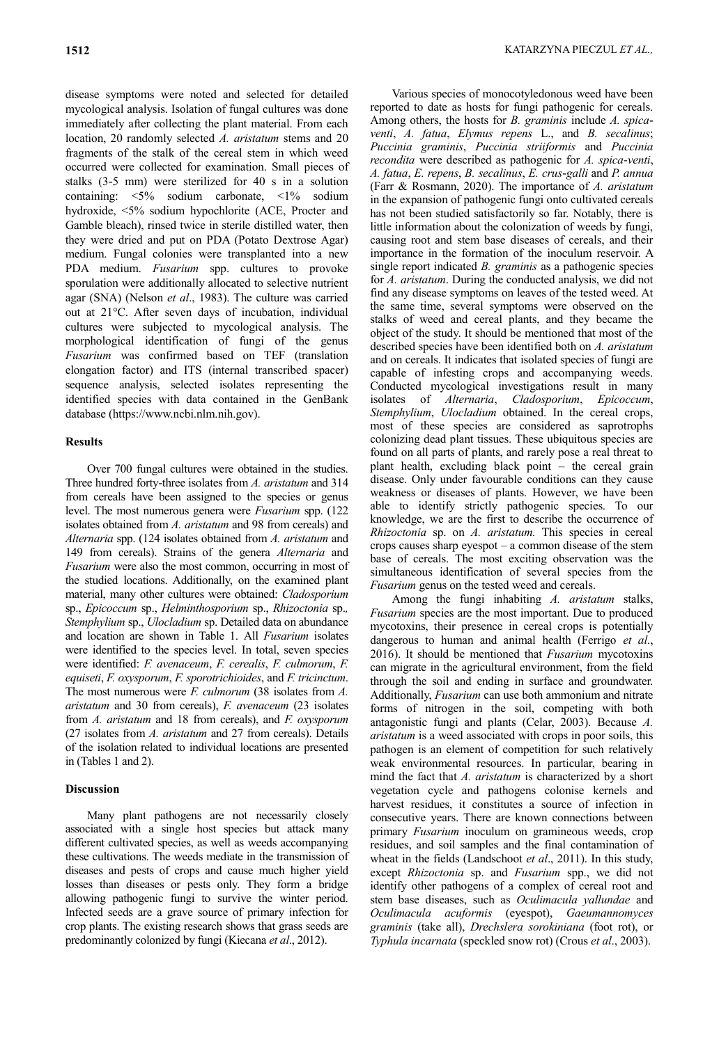disease symptoms were noted and selected for detailed mycological analysis. Isolation of fungal cultures was done immediately after collecting the plant material. From each location, 20 randomly selected *A. aristatum* stems and 20 fragments of the stalk of the cereal stem in which weed occurred were collected for examination. Small pieces of stalks (3-5 mm) were sterilized for 40 s in a solution containing: <5% sodium carbonate, <1% sodium hydroxide, <5% sodium hypochlorite (ACE, Procter and Gamble bleach), rinsed twice in sterile distilled water, then they were dried and put on PDA (Potato Dextrose Agar) medium. Fungal colonies were transplanted into a new PDA medium. **Fusarium** spp. cultures to provoke sporulation were additionally allocated to selective nutrient agar (SNA) (Nelson *et al*., 1983). The culture was carried out at 21°C. After seven days of incubation, individual cultures were subjected to mycological analysis. The morphological identification of fungi of the genus *Fusarium* was confirmed based on TEF (translation elongation factor) and ITS (internal transcribed spacer) sequence analysis, selected isolates representing the identified species with data contained in the GenBank database (https://www.ncbi.nlm.nih.gov).

### **Results**

Over 700 fungal cultures were obtained in the studies. Three hundred forty-three isolates from *A. aristatum* and 314 from cereals have been assigned to the species or genus level. The most numerous genera were *Fusarium* spp. (122 isolates obtained from *A. aristatum* and 98 from cereals) and *Alternaria* spp. (124 isolates obtained from *A. aristatum* and 149 from cereals). Strains of the genera *Alternaria* and *Fusarium* were also the most common, occurring in most of the studied locations. Additionally, on the examined plant material, many other cultures were obtained: *Cladosporium*  sp., *Epicoccum* sp., *Helminthosporium* sp., *Rhizoctonia* sp.*, Stemphylium* sp., *Ulocladium* sp. Detailed data on abundance and location are shown in Table 1. All *Fusarium* isolates were identified to the species level. In total, seven species were identified: *F. avenaceum*, *F. cerealis*, *F. culmorum*, *F. equiseti*, *F. oxysporum*, *F. sporotrichioides*, and *F. tricinctum*. The most numerous were *F. culmorum* (38 isolates from *A. aristatum* and 30 from cereals), *F. avenaceum* (23 isolates from *A. aristatum* and 18 from cereals), and *F. oxysporum*  (27 isolates from *A. aristatum* and 27 from cereals). Details of the isolation related to individual locations are presented in (Tables 1 and 2).

## **Discussion**

Many plant pathogens are not necessarily closely associated with a single host species but attack many different cultivated species, as well as weeds accompanying these cultivations. The weeds mediate in the transmission of diseases and pests of crops and cause much higher yield losses than diseases or pests only. They form a bridge allowing pathogenic fungi to survive the winter period. Infected seeds are a grave source of primary infection for crop plants. The existing research shows that grass seeds are predominantly colonized by fungi (Kiecana *et al*., 2012).

Various species of monocotyledonous weed have been reported to date as hosts for fungi pathogenic for cereals. Among others, the hosts for *B. graminis* include *A. spicaventi*, *A. fatua*, *Elymus repens* L., and *B. secalinus*; *Puccinia graminis*, *Puccinia striiformis* and *Puccinia recondita* were described as pathogenic for *A. spica-venti*, *A. fatua*, *E. repens*, *B. secalinus*, *E. crus-galli* and *P. annua*  (Farr & Rosmann, 2020). The importance of *A. aristatum* in the expansion of pathogenic fungi onto cultivated cereals has not been studied satisfactorily so far. Notably, there is little information about the colonization of weeds by fungi, causing root and stem base diseases of cereals, and their importance in the formation of the inoculum reservoir. A single report indicated *B. graminis* as a pathogenic species for *A. aristatum*. During the conducted analysis, we did not find any disease symptoms on leaves of the tested weed. At the same time, several symptoms were observed on the stalks of weed and cereal plants, and they became the object of the study. It should be mentioned that most of the described species have been identified both on *A. aristatum* and on cereals. It indicates that isolated species of fungi are capable of infesting crops and accompanying weeds. Conducted mycological investigations result in many isolates of *Alternaria*, *Cladosporium*, *Epicoccum*, *Stemphylium*, *Ulocladium* obtained. In the cereal crops, most of these species are considered as saprotrophs colonizing dead plant tissues. These ubiquitous species are found on all parts of plants, and rarely pose a real threat to plant health, excluding black point – the cereal grain disease. Only under favourable conditions can they cause weakness or diseases of plants. However, we have been able to identify strictly pathogenic species. To our knowledge, we are the first to describe the occurrence of *Rhizoctonia* sp. on *A. aristatum.* This species in cereal crops causes sharp eyespot – a common disease of the stem base of cereals. The most exciting observation was the simultaneous identification of several species from the *Fusarium* genus on the tested weed and cereals.

Among the fungi inhabiting *A. aristatum* stalks, *Fusarium* species are the most important. Due to produced mycotoxins, their presence in cereal crops is potentially dangerous to human and animal health (Ferrigo *et al*., 2016). It should be mentioned that *Fusarium* mycotoxins can migrate in the agricultural environment, from the field through the soil and ending in surface and groundwater. Additionally, *Fusarium* can use both ammonium and nitrate forms of nitrogen in the soil, competing with both antagonistic fungi and plants (Celar, 2003). Because *A. aristatum* is a weed associated with crops in poor soils, this pathogen is an element of competition for such relatively weak environmental resources. In particular, bearing in mind the fact that *A. aristatum* is characterized by a short vegetation cycle and pathogens colonise kernels and harvest residues, it constitutes a source of infection in consecutive years. There are known connections between primary *Fusarium* inoculum on gramineous weeds, crop residues, and soil samples and the final contamination of wheat in the fields (Landschoot *et al*., 2011). In this study, except *Rhizoctonia* sp. and *Fusarium* spp., we did not identify other pathogens of a complex of cereal root and stem base diseases, such as *Oculimacula yallundae* and *Oculimacula acuformis* (eyespot), *Gaeumannomyces graminis* (take all), *Drechslera sorokiniana* (foot rot), or *Typhula incarnata* (speckled snow rot) (Crous *et al*., 2003).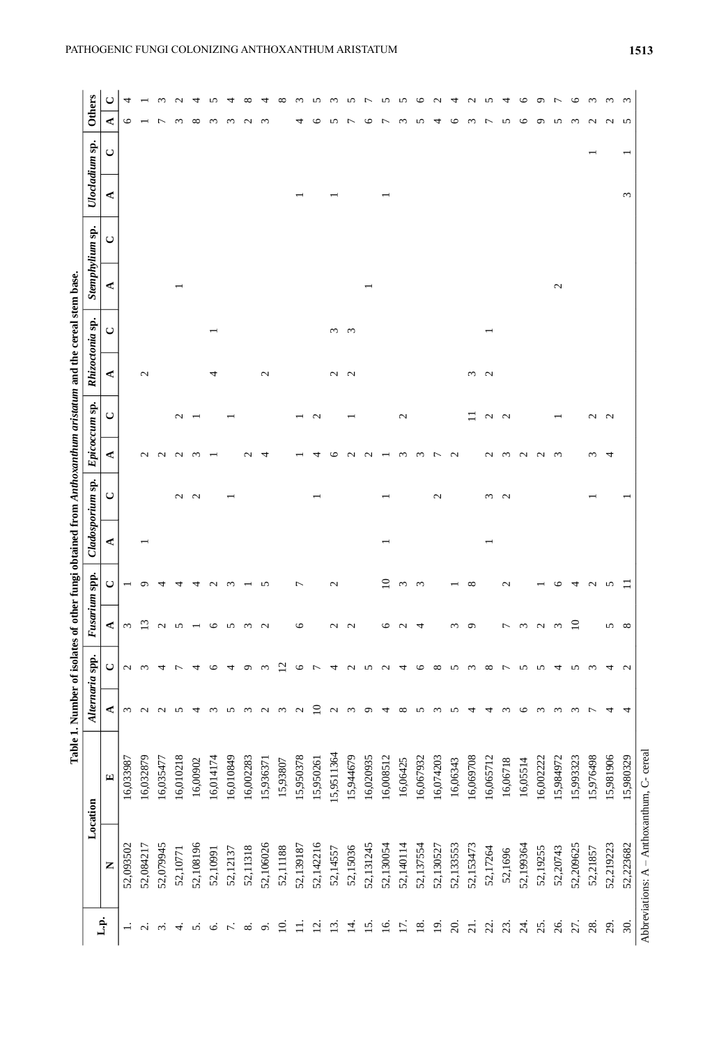|                   |                                               |            |                   | Table 1. Number of isolates of other fungi obtained from Anthoxanthum aristatum and the cereal stem base. |                   |                   |   |                  |                   |                   |                 |          |               |                 |            |                |                               |
|-------------------|-----------------------------------------------|------------|-------------------|-----------------------------------------------------------------------------------------------------------|-------------------|-------------------|---|------------------|-------------------|-------------------|-----------------|----------|---------------|-----------------|------------|----------------|-------------------------------|
|                   |                                               | Location   |                   | Alternaria spp.                                                                                           | usarium spp.      |                   |   | Cladosporium sp. | Epicoccum sp.     |                   | Rhizoctonia     | ę.       |               | Stemphylium sp. |            | Ulocladium sp. | <b>Others</b>                 |
| م.<br>أ           | Z                                             | 덕          | ≺                 | ں                                                                                                         | ⋖                 | ں                 | ⋖ | ں                | ⋖                 | ں                 | ⋖               | $\cup$   | ⋖             | ں               | ⋖          | $\cup$         | ⋖                             |
| $\div$            | 52,093502                                     | 16,033987  | $\omega$          | $\mathbf{\mathcal{L}}$                                                                                    | $\omega$          |                   |   |                  |                   |                   |                 |          |               |                 |            |                | 4<br>७                        |
| $\sim$            | 52,084217                                     | 16,032879  | $\mathbf{\sim}$   | $\epsilon$                                                                                                | $\omega$          | ○                 |   |                  | $\mathbf{\Omega}$ |                   | $\mathbf{\sim}$ |          |               |                 |            |                |                               |
| $\sim$            | 52,079945                                     | 16,035477  |                   | 4                                                                                                         | $\sim$            |                   |   |                  | $\sim$            |                   |                 |          |               |                 |            |                | $\omega$<br>┍                 |
| 4                 | 52,10771                                      | 16,010218  | S                 |                                                                                                           | S                 | ᅿ                 |   | $\mathbf{c}$     | $\mathbf{C}$      | $\sim$            |                 |          |               |                 |            |                | $\epsilon$                    |
| n                 | 52,108196                                     | 16,00902   | 4                 | ₹                                                                                                         |                   | 4                 |   | $\sim$           | ന                 |                   |                 |          |               |                 |            |                | $\infty$                      |
| ق                 | 52,10991                                      | 16,014174  | $\omega$          | ≌                                                                                                         | ৩                 | $\sim$            |   |                  |                   |                   | ᆉ               |          |               |                 |            |                | $\omega$                      |
|                   | 52,12137                                      | 16,010849  | S                 | ₹                                                                                                         | S                 | S                 |   |                  |                   |                   |                 |          |               |                 |            |                | $\epsilon$                    |
| $\infty$          | 52,11318                                      | 16,002283  | $\epsilon$        | ᡋ                                                                                                         | $\omega$          |                   |   |                  | $\sim$            |                   |                 |          |               |                 |            |                | $\mathbf{\sim}$               |
| $\sigma$          | 52,106026                                     | 15,936371  | $\sim$            | $\epsilon$                                                                                                | $\mathbf{C}$      | 5                 |   |                  | ₹                 |                   | $\mathcal{L}$   |          |               |                 |            |                | $\epsilon$                    |
| $\Xi$             | 52,11188                                      | 15,93807   | $\omega$          | $\Xi$                                                                                                     |                   |                   |   |                  |                   |                   |                 |          |               |                 |            |                |                               |
| $\equiv$          | 52,139187                                     | 15,950378  | $\mathbf{\sim}$   | ৩                                                                                                         | 0                 | 7                 |   |                  |                   |                   |                 |          |               |                 |            |                | 4                             |
| $\vec{c}$         | 52,142216                                     | 15,950261  | ≘                 | ↽                                                                                                         |                   |                   |   |                  |                   | $\mathbf{\Omega}$ |                 |          |               |                 |            |                | n<br>७                        |
| $\overline{13}$   | 52,14557                                      | 15,9511364 | $\mathbf{\Omega}$ | 4                                                                                                         | $\mathcal{L}$     | $\mathcal{L}$     |   |                  | ⊾                 |                   | $\mathbf{C}$    | $\omega$ |               |                 |            |                | $\omega$<br>5                 |
| <u>다</u>          | 52,15036                                      | 15,944679  | $\epsilon$        | $\mathbf{\Omega}$                                                                                         | $\mathbf{C}$      |                   |   |                  | $\sim$            |                   | $\sim$          | ന        |               |                 |            |                | n<br>┍                        |
| $15$ .            | 52,131245                                     | 16,020935  | o                 | n                                                                                                         |                   |                   |   |                  | $\sim$            |                   |                 |          |               |                 |            |                | P                             |
| $\overline{6}$    | 52,130054                                     | 16,008512  | 4                 | $\sim$                                                                                                    | 0                 | ≘                 |   |                  |                   |                   |                 |          |               |                 |            |                | n<br>∼                        |
| Ξ.                | 52,140114                                     | 16,06425   | ${}^{\circ}$      | ↽                                                                                                         | $\mathbf{\Omega}$ | $\epsilon$        |   |                  | $\epsilon$        | $\mathbf{\Omega}$ |                 |          |               |                 |            |                | n<br>$\epsilon$               |
| $\overline{18}$   | 52,137554                                     | 16,067932  | S                 | ७                                                                                                         | 4                 | $\epsilon$        |   |                  | $\omega$          |                   |                 |          |               |                 |            |                | ७<br>5                        |
| $\overline{19}$   | 52,130527                                     | 16,074203  | $\omega$          | $\infty$                                                                                                  |                   |                   |   | $\mathcal{L}$    | $\overline{ }$    |                   |                 |          |               |                 |            |                | 4                             |
| 20.               | 52,133553                                     | 16,06343   | S                 | n                                                                                                         | $\omega$          |                   |   |                  | $\mathbf{\Omega}$ |                   |                 |          |               |                 |            |                | ৩                             |
| $\overline{21}$ . | 52,153473                                     | 16,069708  | 4                 | S                                                                                                         | $\sigma$          | ∞                 |   |                  |                   | Ξ                 | $\omega$        |          |               |                 |            |                | $\omega$                      |
| 22.               | 52,17264                                      | 16,065712  | 4                 | $\infty$                                                                                                  |                   |                   |   | $\epsilon$       | $\mathbf{\sim}$   | a a               | $\sim$          |          |               |                 |            |                | n<br>↽                        |
| 23.               | 52,1696                                       | 16,06718   | $\epsilon$        | ∼                                                                                                         | $\overline{ }$    | $\mathbf{\Omega}$ |   | $\sim$           | $\omega$          |                   |                 |          |               |                 |            |                | 5                             |
| $\overline{z}$    | 52,199364                                     | 16,05514   | $\circ$           | S                                                                                                         | $\omega$          |                   |   |                  | $\mathbf{C}$      |                   |                 |          |               |                 |            |                | ७<br>৩                        |
| 25.               | 52,19255                                      | 16,002222  | $\omega$          | n                                                                                                         | $\sim$            |                   |   |                  | $\sim$            |                   |                 |          |               |                 |            |                | ⌒<br>$\sigma$                 |
| 26.               | 52,20743                                      | 15,984972  | $\omega$          | ෑ                                                                                                         | $\omega$          | ⊂                 |   |                  | $\epsilon$        |                   |                 |          | $\mathcal{L}$ |                 |            |                | S                             |
| 27.               | 52,209625                                     | 15,993323  | $\epsilon$        | n                                                                                                         | ≘                 | ₹                 |   |                  |                   |                   |                 |          |               |                 |            |                | $\circ$<br>$\omega$           |
| 28.               | 52,21857                                      | 15,976498  | ∼                 | $\epsilon$                                                                                                |                   | $\sim$            |   |                  | $\sim$            | $\sim$            |                 |          |               |                 |            |                | $\omega$<br>$\mathbf{\Omega}$ |
| 29                | 52,219223                                     | 15,981906  | 4                 | 4                                                                                                         | S                 | S                 |   |                  | 4                 | $\sim$            |                 |          |               |                 |            |                | $\omega$<br>$\sim$            |
| 30.               | 52,223682                                     | 15,980329  | 4                 | $\mathbf{\Omega}$                                                                                         | $\infty$          |                   |   |                  |                   |                   |                 |          |               |                 | $\epsilon$ |                | _ ന<br>S                      |
|                   | Abbreviations: $A - Antboxanthum$ , C- cereal |            |                   |                                                                                                           |                   |                   |   |                  |                   |                   |                 |          |               |                 |            |                |                               |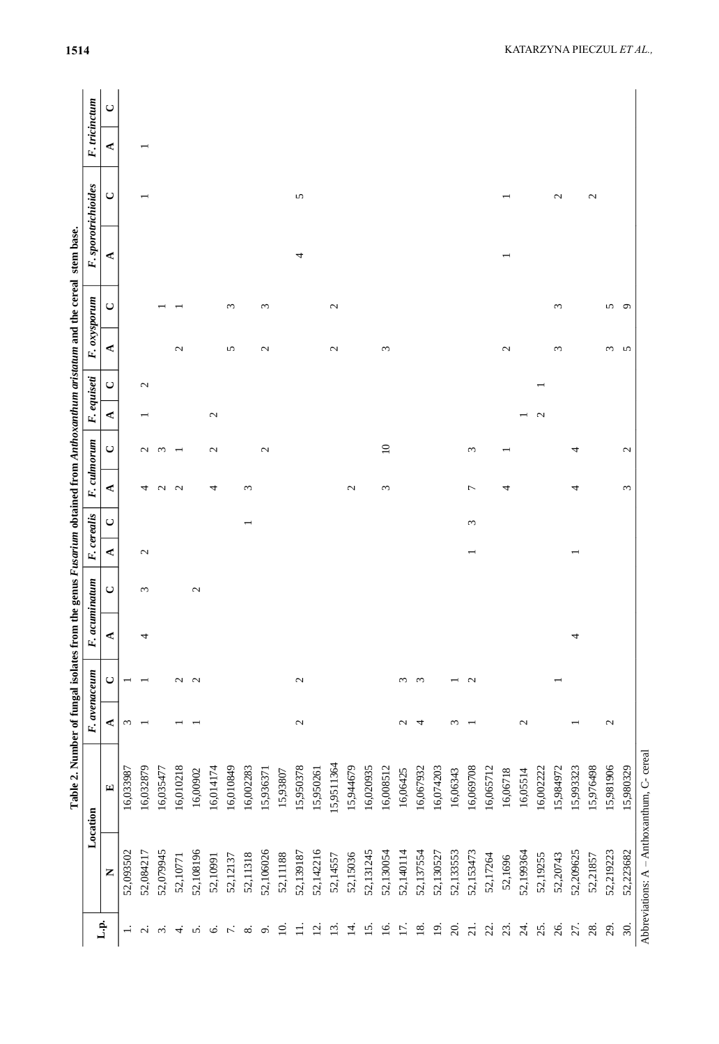|                   |                                               | Table 2. Number of fungal isolates from the genus Fusarium obtained from Anthoxanthum aristatum and the cereal |                          |              |      |                  |               |            |                                    |              |                   |               |              | stem base           |               |   |               |
|-------------------|-----------------------------------------------|----------------------------------------------------------------------------------------------------------------|--------------------------|--------------|------|------------------|---------------|------------|------------------------------------|--------------|-------------------|---------------|--------------|---------------------|---------------|---|---------------|
|                   |                                               | Location                                                                                                       |                          | F. avenaceum | F. a | <b>cuminatum</b> | F. cerealis   |            | F. culmorum                        |              | F. equiseti       |               | F. oxysporum | F. sporotrichioides |               |   | F. tricinctum |
| L.p.              | Z                                             | $\mathbf{E}$                                                                                                   | ⋖                        | $\cup$       | ≺    | $\cup$           | ⋖             | $\cup$     | $\cup$<br>⋖                        | ⋖            | ں                 | ⋖             | $\cup$       | ⋖                   | $\cup$        | ⋖ | $\cup$        |
| $\div$            | 52,093502                                     | 16,033987                                                                                                      | $\omega$                 |              |      |                  |               |            |                                    |              |                   |               |              |                     |               |   |               |
| $\sim$            | 52,084217                                     | 16,032879                                                                                                      | $\overline{\phantom{0}}$ |              | 4    | $\epsilon$       | $\mathcal{L}$ |            | $\mathbf{\sim}$<br>4               |              | $\mathbf{\Omega}$ |               |              |                     |               |   |               |
| $\sim$            | 52,079945                                     | 16,035477                                                                                                      |                          |              |      |                  |               |            | $\omega$<br>$\mathbf{\Omega}$      |              |                   |               |              |                     |               |   |               |
| 4.                | 52,10771                                      | 16,010218                                                                                                      |                          | $\mathbf{C}$ |      |                  |               |            | $\overline{\phantom{0}}$<br>$\sim$ |              |                   | $\mathbf{c}$  |              |                     |               |   |               |
| 5.                | 52,108196                                     | 16,00902                                                                                                       |                          | $\sim$       |      | $\mathcal{L}$    |               |            |                                    |              |                   |               |              |                     |               |   |               |
| Ġ.                | 52,10991                                      | 16,014174                                                                                                      |                          |              |      |                  |               |            | $\mathcal{L}$<br>4                 |              | 2                 |               |              |                     |               |   |               |
| $\mathcal{L}$     | 52,12137                                      | 16,010849                                                                                                      |                          |              |      |                  |               |            |                                    |              |                   | 5             | $\epsilon$   |                     |               |   |               |
| ∞ं                | 52,11318                                      | 16,002283                                                                                                      |                          |              |      |                  |               |            | $\epsilon$                         |              |                   |               |              |                     |               |   |               |
| $\sigma$          | 52,106026                                     | 15,936371                                                                                                      |                          |              |      |                  |               |            | $\mathcal{L}$                      |              |                   | $\mathcal{L}$ | $\omega$     |                     |               |   |               |
| $\overline{10}$   | 52,11188                                      | 15,93807                                                                                                       |                          |              |      |                  |               |            |                                    |              |                   |               |              |                     |               |   |               |
| $\equiv$          | 52,139187                                     | 15,950378                                                                                                      | $\mathcal{L}$            | $\mathbf{C}$ |      |                  |               |            |                                    |              |                   |               |              | 4                   | 5             |   |               |
| $\overline{5}$    | 52,142216                                     | 15,950261                                                                                                      |                          |              |      |                  |               |            |                                    |              |                   |               |              |                     |               |   |               |
| $\overline{13}$ . | 52,14557                                      | 15,9511364                                                                                                     |                          |              |      |                  |               |            |                                    |              |                   | $\mathcal{L}$ | $\mathbf{C}$ |                     |               |   |               |
| 4.                | 52,15036                                      | 15,944679                                                                                                      |                          |              |      |                  |               |            | $\mathcal{L}$                      |              |                   |               |              |                     |               |   |               |
| $\overline{15}$   | 52,131245                                     | 16,020935                                                                                                      |                          |              |      |                  |               |            |                                    |              |                   |               |              |                     |               |   |               |
| <u>َمَا</u>       | 52,130054                                     | 16,008512                                                                                                      |                          |              |      |                  |               |            | $\Xi$<br>3                         |              |                   | 3             |              |                     |               |   |               |
| 17.               | 52,140114                                     | 16,06425                                                                                                       | $\mathcal{L}$            | $\epsilon$   |      |                  |               |            |                                    |              |                   |               |              |                     |               |   |               |
| $\overline{18}$ . | 52,137554                                     | 16,067932                                                                                                      | 4                        | $\omega$     |      |                  |               |            |                                    |              |                   |               |              |                     |               |   |               |
| $\overline{19}$   | 52,130527                                     | 16,074203                                                                                                      |                          |              |      |                  |               |            |                                    |              |                   |               |              |                     |               |   |               |
| 20.               | 52,133553                                     | 16,06343                                                                                                       | $\epsilon$               |              |      |                  |               |            |                                    |              |                   |               |              |                     |               |   |               |
| $\overline{21}$ . | 52,153473                                     | 16,069708                                                                                                      | $\overline{\phantom{0}}$ | $\mathbf{C}$ |      |                  |               | $\epsilon$ | $\epsilon$<br>7                    |              |                   |               |              |                     |               |   |               |
| 22.               | 52,17264                                      | 16,065712                                                                                                      |                          |              |      |                  |               |            |                                    |              |                   |               |              |                     |               |   |               |
| 23.               | 52,1696                                       | 16,06718                                                                                                       |                          |              |      |                  |               |            | 4                                  |              |                   | $\mathbf{C}$  |              |                     |               |   |               |
| $\overline{24}$ . | 52,199364                                     | 16,05514                                                                                                       | $\mathcal{L}$            |              |      |                  |               |            |                                    |              |                   |               |              |                     |               |   |               |
| 25.               | 52,19255                                      | 16,002222                                                                                                      |                          |              |      |                  |               |            |                                    | $\mathbf{C}$ |                   |               |              |                     |               |   |               |
| 26.               | 52,20743                                      | 15,984972                                                                                                      |                          |              |      |                  |               |            |                                    |              |                   | $\epsilon$    | $\epsilon$   |                     | $\mathbf{C}$  |   |               |
| 27.               | 52,209625                                     | 15,993323                                                                                                      |                          |              | 4    |                  |               |            | 4<br>4                             |              |                   |               |              |                     |               |   |               |
| 28.               | 52,21857                                      | 15,976498                                                                                                      |                          |              |      |                  |               |            |                                    |              |                   |               |              |                     | $\mathcal{L}$ |   |               |
| 29.               | 52,219223                                     | 15,981906                                                                                                      | $\mathcal{L}$            |              |      |                  |               |            |                                    |              |                   | $\omega$      | 5            |                     |               |   |               |
| 30.               | 52,223682                                     | 15,980329                                                                                                      |                          |              |      |                  |               |            | $\mathbf{C}$<br>$\omega$           |              |                   | 5             | $\circ$      |                     |               |   |               |
|                   | Abbreviations: $A - Antboxanthum$ , C- cereal |                                                                                                                |                          |              |      |                  |               |            |                                    |              |                   |               |              |                     |               |   |               |